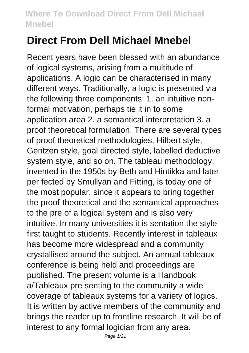# **Direct From Dell Michael Mnebel**

Recent years have been blessed with an abundance of logical systems, arising from a multitude of applications. A logic can be characterised in many different ways. Traditionally, a logic is presented via the following three components: 1. an intuitive nonformal motivation, perhaps tie it in to some application area 2. a semantical interpretation 3. a proof theoretical formulation. There are several types of proof theoretical methodologies, Hilbert style, Gentzen style, goal directed style, labelled deductive system style, and so on. The tableau methodology, invented in the 1950s by Beth and Hintikka and later per fected by Smullyan and Fitting, is today one of the most popular, since it appears to bring together the proof-theoretical and the semantical approaches to the pre of a logical system and is also very intuitive. In many universities it is sentation the style first taught to students. Recently interest in tableaux has become more widespread and a community crystallised around the subject. An annual tableaux conference is being held and proceedings are published. The present volume is a Handbook a/Tableaux pre senting to the community a wide coverage of tableaux systems for a variety of logics. It is written by active members of the community and brings the reader up to frontline research. It will be of interest to any formal logician from any area.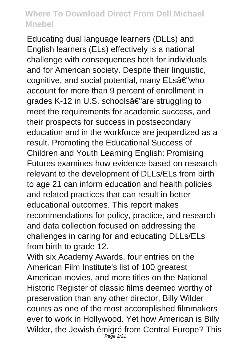Educating dual language learners (DLLs) and English learners (ELs) effectively is a national challenge with consequences both for individuals and for American society. Despite their linguistic, cognitive, and social potential, many ELsâ€"who account for more than 9 percent of enrollment in grades K-12 in U.S. schoolsâ€"are struggling to meet the requirements for academic success, and their prospects for success in postsecondary education and in the workforce are jeopardized as a result. Promoting the Educational Success of Children and Youth Learning English: Promising Futures examines how evidence based on research relevant to the development of DLLs/ELs from birth to age 21 can inform education and health policies and related practices that can result in better educational outcomes. This report makes recommendations for policy, practice, and research and data collection focused on addressing the challenges in caring for and educating DLLs/ELs from birth to grade 12.

With six Academy Awards, four entries on the American Film Institute's list of 100 greatest American movies, and more titles on the National Historic Register of classic films deemed worthy of preservation than any other director, Billy Wilder counts as one of the most accomplished filmmakers ever to work in Hollywood. Yet how American is Billy Wilder, the Jewish émigré from Central Europe? This Page 2/21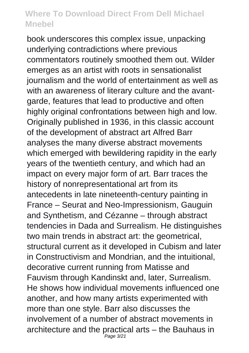book underscores this complex issue, unpacking underlying contradictions where previous commentators routinely smoothed them out. Wilder emerges as an artist with roots in sensationalist journalism and the world of entertainment as well as with an awareness of literary culture and the avantgarde, features that lead to productive and often highly original confrontations between high and low. Originally published in 1936, in this classic account of the development of abstract art Alfred Barr analyses the many diverse abstract movements which emerged with bewildering rapidity in the early years of the twentieth century, and which had an impact on every major form of art. Barr traces the history of nonrepresentational art from its antecedents in late nineteenth-century painting in France – Seurat and Neo-Impressionism, Gauguin and Synthetism, and Cézanne – through abstract tendencies in Dada and Surrealism. He distinguishes two main trends in abstract art: the geometrical, structural current as it developed in Cubism and later in Constructivism and Mondrian, and the intuitional, decorative current running from Matisse and Fauvism through Kandinskt and, later, Surrealism. He shows how individual movements influenced one another, and how many artists experimented with more than one style. Barr also discusses the involvement of a number of abstract movements in architecture and the practical arts – the Bauhaus in Page 3/21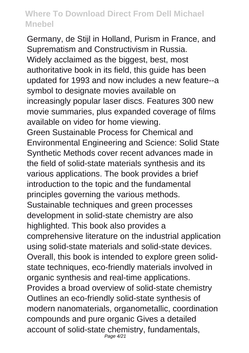Germany, de Stijl in Holland, Purism in France, and Suprematism and Constructivism in Russia. Widely acclaimed as the biggest, best, most authoritative book in its field, this guide has been updated for 1993 and now includes a new feature--a symbol to designate movies available on increasingly popular laser discs. Features 300 new movie summaries, plus expanded coverage of films available on video for home viewing. Green Sustainable Process for Chemical and Environmental Engineering and Science: Solid State Synthetic Methods cover recent advances made in the field of solid-state materials synthesis and its various applications. The book provides a brief introduction to the topic and the fundamental principles governing the various methods. Sustainable techniques and green processes development in solid-state chemistry are also highlighted. This book also provides a comprehensive literature on the industrial application using solid-state materials and solid-state devices. Overall, this book is intended to explore green solidstate techniques, eco-friendly materials involved in organic synthesis and real-time applications. Provides a broad overview of solid-state chemistry Outlines an eco-friendly solid-state synthesis of modern nanomaterials, organometallic, coordination compounds and pure organic Gives a detailed account of solid-state chemistry, fundamentals, Page 4/21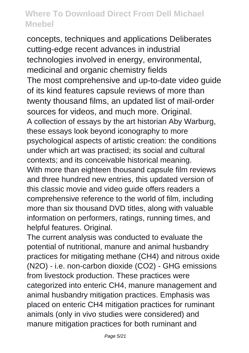concepts, techniques and applications Deliberates cutting-edge recent advances in industrial technologies involved in energy, environmental, medicinal and organic chemistry fields The most comprehensive and up-to-date video guide of its kind features capsule reviews of more than twenty thousand films, an updated list of mail-order sources for videos, and much more. Original. A collection of essays by the art historian Aby Warburg, these essays look beyond iconography to more psychological aspects of artistic creation: the conditions under which art was practised; its social and cultural contexts; and its conceivable historical meaning. With more than eighteen thousand capsule film reviews and three hundred new entries, this updated version of this classic movie and video guide offers readers a comprehensive reference to the world of film, including more than six thousand DVD titles, along with valuable information on performers, ratings, running times, and helpful features. Original.

The current analysis was conducted to evaluate the potential of nutritional, manure and animal husbandry practices for mitigating methane (CH4) and nitrous oxide (N2O) - i.e. non-carbon dioxide (CO2) - GHG emissions from livestock production. These practices were categorized into enteric CH4, manure management and animal husbandry mitigation practices. Emphasis was placed on enteric CH4 mitigation practices for ruminant animals (only in vivo studies were considered) and manure mitigation practices for both ruminant and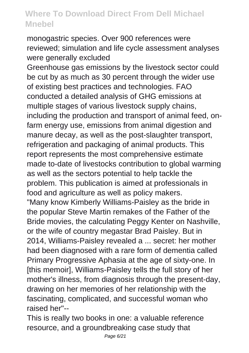monogastric species. Over 900 references were reviewed; simulation and life cycle assessment analyses were generally excluded

Greenhouse gas emissions by the livestock sector could be cut by as much as 30 percent through the wider use of existing best practices and technologies. FAO conducted a detailed analysis of GHG emissions at multiple stages of various livestock supply chains, including the production and transport of animal feed, onfarm energy use, emissions from animal digestion and manure decay, as well as the post-slaughter transport, refrigeration and packaging of animal products. This report represents the most comprehensive estimate made to-date of livestocks contribution to global warming as well as the sectors potential to help tackle the problem. This publication is aimed at professionals in food and agriculture as well as policy makers.

"Many know Kimberly Williams-Paisley as the bride in the popular Steve Martin remakes of the Father of the Bride movies, the calculating Peggy Kenter on Nashville, or the wife of country megastar Brad Paisley. But in 2014, Williams-Paisley revealed a ... secret: her mother had been diagnosed with a rare form of dementia called Primary Progressive Aphasia at the age of sixty-one. In [this memoir], Williams-Paisley tells the full story of her mother's illness, from diagnosis through the present-day, drawing on her memories of her relationship with the fascinating, complicated, and successful woman who raised her"--

This is really two books in one: a valuable reference resource, and a groundbreaking case study that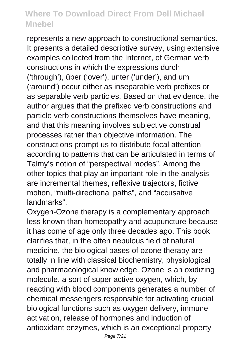represents a new approach to constructional semantics. It presents a detailed descriptive survey, using extensive examples collected from the Internet, of German verb constructions in which the expressions durch ('through'), über ('over'), unter ('under'), and um ('around') occur either as inseparable verb prefixes or as separable verb particles. Based on that evidence, the author argues that the prefixed verb constructions and particle verb constructions themselves have meaning, and that this meaning involves subjective construal processes rather than objective information. The constructions prompt us to distribute focal attention according to patterns that can be articulated in terms of Talmy's notion of "perspectival modes". Among the other topics that play an important role in the analysis are incremental themes, reflexive trajectors, fictive motion, "multi-directional paths", and "accusative landmarks".

Oxygen-Ozone therapy is a complementary approach less known than homeopathy and acupuncture because it has come of age only three decades ago. This book clarifies that, in the often nebulous field of natural medicine, the biological bases of ozone therapy are totally in line with classical biochemistry, physiological and pharmacological knowledge. Ozone is an oxidizing molecule, a sort of super active oxygen, which, by reacting with blood components generates a number of chemical messengers responsible for activating crucial biological functions such as oxygen delivery, immune activation, release of hormones and induction of antioxidant enzymes, which is an exceptional property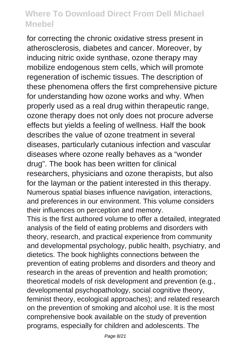for correcting the chronic oxidative stress present in atherosclerosis, diabetes and cancer. Moreover, by inducing nitric oxide synthase, ozone therapy may mobilize endogenous stem cells, which will promote regeneration of ischemic tissues. The description of these phenomena offers the first comprehensive picture for understanding how ozone works and why. When properly used as a real drug within therapeutic range, ozone therapy does not only does not procure adverse effects but yields a feeling of wellness. Half the book describes the value of ozone treatment in several diseases, particularly cutanious infection and vascular diseases where ozone really behaves as a "wonder drug". The book has been written for clinical researchers, physicians and ozone therapists, but also for the layman or the patient interested in this therapy. Numerous spatial biases influence navigation, interactions, and preferences in our environment. This volume considers their influences on perception and memory.

This is the first authored volume to offer a detailed, integrated analysis of the field of eating problems and disorders with theory, research, and practical experience from community and developmental psychology, public health, psychiatry, and dietetics. The book highlights connections between the prevention of eating problems and disorders and theory and research in the areas of prevention and health promotion; theoretical models of risk development and prevention (e.g., developmental psychopathology, social cognitive theory, feminist theory, ecological approaches); and related research on the prevention of smoking and alcohol use. It is the most comprehensive book available on the study of prevention programs, especially for children and adolescents. The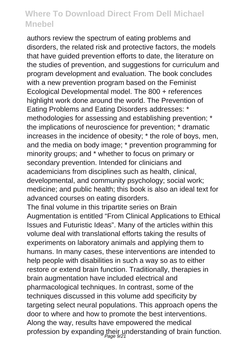authors review the spectrum of eating problems and disorders, the related risk and protective factors, the models that have guided prevention efforts to date, the literature on the studies of prevention, and suggestions for curriculum and program development and evaluation. The book concludes with a new prevention program based on the Feminist Ecological Developmental model. The 800 + references highlight work done around the world. The Prevention of Eating Problems and Eating Disorders addresses: \* methodologies for assessing and establishing prevention: \* the implications of neuroscience for prevention; \* dramatic increases in the incidence of obesity; \* the role of boys, men, and the media on body image; \* prevention programming for minority groups; and \* whether to focus on primary or secondary prevention. Intended for clinicians and academicians from disciplines such as health, clinical, developmental, and community psychology; social work; medicine; and public health; this book is also an ideal text for advanced courses on eating disorders.

The final volume in this tripartite series on Brain Augmentation is entitled "From Clinical Applications to Ethical Issues and Futuristic Ideas". Many of the articles within this volume deal with translational efforts taking the results of experiments on laboratory animals and applying them to humans. In many cases, these interventions are intended to help people with disabilities in such a way so as to either restore or extend brain function. Traditionally, therapies in brain augmentation have included electrical and pharmacological techniques. In contrast, some of the techniques discussed in this volume add specificity by targeting select neural populations. This approach opens the door to where and how to promote the best interventions. Along the way, results have empowered the medical profession by expanding their understanding of brain function.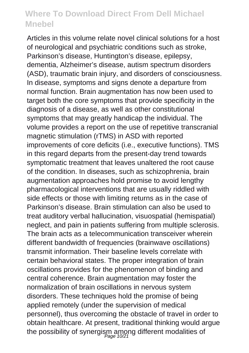Articles in this volume relate novel clinical solutions for a host of neurological and psychiatric conditions such as stroke, Parkinson's disease, Huntington's disease, epilepsy, dementia, Alzheimer's disease, autism spectrum disorders (ASD), traumatic brain injury, and disorders of consciousness. In disease, symptoms and signs denote a departure from normal function. Brain augmentation has now been used to target both the core symptoms that provide specificity in the diagnosis of a disease, as well as other constitutional symptoms that may greatly handicap the individual. The volume provides a report on the use of repetitive transcranial magnetic stimulation (rTMS) in ASD with reported improvements of core deficits (i.e., executive functions). TMS in this regard departs from the present-day trend towards symptomatic treatment that leaves unaltered the root cause of the condition. In diseases, such as schizophrenia, brain augmentation approaches hold promise to avoid lengthy pharmacological interventions that are usually riddled with side effects or those with limiting returns as in the case of Parkinson's disease. Brain stimulation can also be used to treat auditory verbal hallucination, visuospatial (hemispatial) neglect, and pain in patients suffering from multiple sclerosis. The brain acts as a telecommunication transceiver wherein different bandwidth of frequencies (brainwave oscillations) transmit information. Their baseline levels correlate with certain behavioral states. The proper integration of brain oscillations provides for the phenomenon of binding and central coherence. Brain augmentation may foster the normalization of brain oscillations in nervous system disorders. These techniques hold the promise of being applied remotely (under the supervision of medical personnel), thus overcoming the obstacle of travel in order to obtain healthcare. At present, traditional thinking would argue the possibility of synergism among different modalities of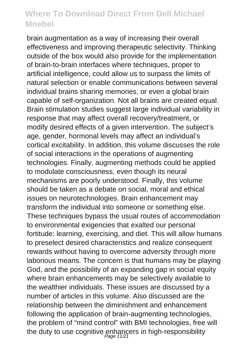brain augmentation as a way of increasing their overall effectiveness and improving therapeutic selectivity. Thinking outside of the box would also provide for the implementation of brain-to-brain interfaces where techniques, proper to artificial intelligence, could allow us to surpass the limits of natural selection or enable communications between several individual brains sharing memories, or even a global brain capable of self-organization. Not all brains are created equal. Brain stimulation studies suggest large individual variability in response that may affect overall recovery/treatment, or modify desired effects of a given intervention. The subject's age, gender, hormonal levels may affect an individual's cortical excitability. In addition, this volume discusses the role of social interactions in the operations of augmenting technologies. Finally, augmenting methods could be applied to modulate consciousness, even though its neural mechanisms are poorly understood. Finally, this volume should be taken as a debate on social, moral and ethical issues on neurotechnologies. Brain enhancement may transform the individual into someone or something else. These techniques bypass the usual routes of accommodation to environmental exigencies that exalted our personal fortitude: learning, exercising, and diet. This will allow humans to preselect desired characteristics and realize consequent rewards without having to overcome adversity through more laborious means. The concern is that humans may be playing God, and the possibility of an expanding gap in social equity where brain enhancements may be selectively available to the wealthier individuals. These issues are discussed by a number of articles in this volume. Also discussed are the relationship between the diminishment and enhancement following the application of brain-augmenting technologies, the problem of "mind control" with BMI technologies, free will the duty to use cognitive enhancers in high-responsibility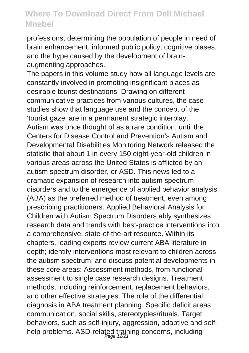professions, determining the population of people in need of brain enhancement, informed public policy, cognitive biases, and the hype caused by the development of brainaugmenting approaches.

The papers in this volume study how all language levels are constantly involved in promoting insignificant places as desirable tourist destinations. Drawing on different communicative practices from various cultures, the case studies show that language use and the concept of the 'tourist gaze' are in a permanent strategic interplay. Autism was once thought of as a rare condition, until the Centers for Disease Control and Prevention's Autism and Developmental Disabilities Monitoring Network released the statistic that about 1 in every 150 eight-year-old children in various areas across the United States is afflicted by an autism spectrum disorder, or ASD. This news led to a dramatic expansion of research into autism spectrum disorders and to the emergence of applied behavior analysis (ABA) as the preferred method of treatment, even among prescribing practitioners. Applied Behavioral Analysis for Children with Autism Spectrum Disorders ably synthesizes research data and trends with best-practice interventions into a comprehensive, state-of-the-art resource. Within its chapters, leading experts review current ABA literature in depth; identify interventions most relevant to children across the autism spectrum; and discuss potential developments in these core areas: Assessment methods, from functional assessment to single case research designs. Treatment methods, including reinforcement, replacement behaviors, and other effective strategies. The role of the differential diagnosis in ABA treatment planning. Specific deficit areas: communication, social skills, stereotypies/rituals. Target behaviors, such as self-injury, aggression, adaptive and selfhelp problems. ASD-related training concerns, including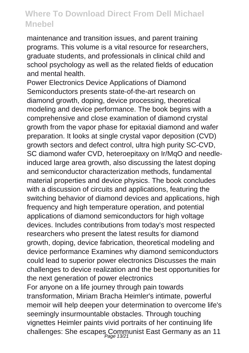maintenance and transition issues, and parent training programs. This volume is a vital resource for researchers, graduate students, and professionals in clinical child and school psychology as well as the related fields of education and mental health.

Power Electronics Device Applications of Diamond Semiconductors presents state-of-the-art research on diamond growth, doping, device processing, theoretical modeling and device performance. The book begins with a comprehensive and close examination of diamond crystal growth from the vapor phase for epitaxial diamond and wafer preparation. It looks at single crystal vapor deposition (CVD) growth sectors and defect control, ultra high purity SC-CVD, SC diamond wafer CVD, heteroepitaxy on Ir/MqO and needleinduced large area growth, also discussing the latest doping and semiconductor characterization methods, fundamental material properties and device physics. The book concludes with a discussion of circuits and applications, featuring the switching behavior of diamond devices and applications, high frequency and high temperature operation, and potential applications of diamond semiconductors for high voltage devices. Includes contributions from today's most respected researchers who present the latest results for diamond growth, doping, device fabrication, theoretical modeling and device performance Examines why diamond semiconductors could lead to superior power electronics Discusses the main challenges to device realization and the best opportunities for the next generation of power electronics For anyone on a life journey through pain towards transformation, Miriam Bracha Heimler's intimate, powerful memoir will help deepen your determination to overcome life's

seemingly insurmountable obstacles. Through touching vignettes Heimler paints vivid portraits of her continuing life challenges: She escapes Communist East Germany as an 11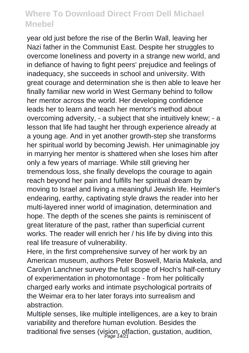year old just before the rise of the Berlin Wall, leaving her Nazi father in the Communist East. Despite her struggles to overcome loneliness and poverty in a strange new world, and in defiance of having to fight peers' prejudice and feelings of inadequacy, she succeeds in school and university. With great courage and determination she is then able to leave her finally familiar new world in West Germany behind to follow her mentor across the world. Her developing confidence leads her to learn and teach her mentor's method about overcoming adversity, - a subject that she intuitively knew; - a lesson that life had taught her through experience already at a young age. And in yet another growth-step she transforms her spiritual world by becoming Jewish. Her unimaginable joy in marrying her mentor is shattered when she loses him after only a few years of marriage. While still grieving her tremendous loss, she finally develops the courage to again reach beyond her pain and fulfills her spiritual dream by moving to Israel and living a meaningful Jewish life. Heimler's endearing, earthy, captivating style draws the reader into her multi-layered inner world of imagination, determination and hope. The depth of the scenes she paints is reminiscent of great literature of the past, rather than superficial current works. The reader will enrich her / his life by diving into this real life treasure of vulnerability.

Here, in the first comprehensive survey of her work by an American museum, authors Peter Boswell, Maria Makela, and Carolyn Lanchner survey the full scope of Hoch's half-century of experimentation in photomontage - from her politically charged early works and intimate psychological portraits of the Weimar era to her later forays into surrealism and abstraction.

Multiple senses, like multiple intelligences, are a key to brain variability and therefore human evolution. Besides the traditional five senses (vision, olfaction, gustation, audition,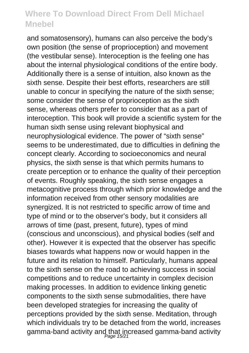and somatosensory), humans can also perceive the body's own position (the sense of proprioception) and movement (the vestibular sense). Interoception is the feeling one has about the internal physiological conditions of the entire body. Additionally there is a sense of intuition, also known as the sixth sense. Despite their best efforts, researchers are still unable to concur in specifying the nature of the sixth sense; some consider the sense of proprioception as the sixth sense, whereas others prefer to consider that as a part of interoception. This book will provide a scientific system for the human sixth sense using relevant biophysical and neurophysiological evidence. The power of "sixth sense" seems to be underestimated, due to difficulties in defining the concept clearly. According to socioeconomics and neural physics, the sixth sense is that which permits humans to create perception or to enhance the quality of their perception of events. Roughly speaking, the sixth sense engages a metacognitive process through which prior knowledge and the information received from other sensory modalities are synergized. It is not restricted to specific arrow of time and type of mind or to the observer's body, but it considers all arrows of time (past, present, future), types of mind (conscious and unconscious), and physical bodies (self and other). However it is expected that the observer has specific biases towards what happens now or would happen in the future and its relation to himself. Particularly, humans appeal to the sixth sense on the road to achieving success in social competitions and to reduce uncertainty in complex decision making processes. In addition to evidence linking genetic components to the sixth sense submodalities, there have been developed strategies for increasing the quality of perceptions provided by the sixth sense. Meditation, through which individuals try to be detached from the world, increases gamma-band activity and that increased gamma-band activity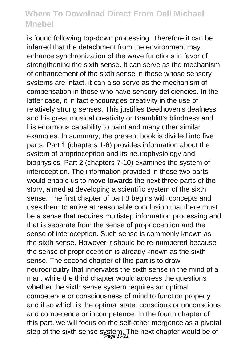is found following top-down processing. Therefore it can be inferred that the detachment from the environment may enhance synchronization of the wave functions in favor of strengthening the sixth sense. It can serve as the mechanism of enhancement of the sixth sense in those whose sensory systems are intact, it can also serve as the mechanism of compensation in those who have sensory deficiencies. In the latter case, it in fact encourages creativity in the use of relatively strong senses. This justifies Beethoven's deafness and his great musical creativity or Bramblitt's blindness and his enormous capability to paint and many other similar examples. In summary, the present book is divided into five parts. Part 1 (chapters 1-6) provides information about the system of proprioception and its neurophysiology and biophysics. Part 2 (chapters 7-10) examines the system of interoception. The information provided in these two parts would enable us to move towards the next three parts of the story, aimed at developing a scientific system of the sixth sense. The first chapter of part 3 begins with concepts and uses them to arrive at reasonable conclusion that there must be a sense that requires multistep information processing and that is separate from the sense of proprioception and the sense of interoception. Such sense is commonly known as the sixth sense. However it should be re-numbered because the sense of proprioception is already known as the sixth sense. The second chapter of this part is to draw neurocircuitry that innervates the sixth sense in the mind of a man, while the third chapter would address the questions whether the sixth sense system requires an optimal competence or consciousness of mind to function properly and if so which is the optimal state: conscious or unconscious and competence or incompetence. In the fourth chapter of this part, we will focus on the self-other mergence as a pivotal step of the sixth sense system. The next chapter would be of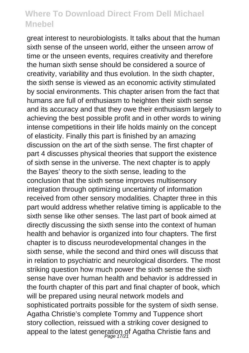great interest to neurobiologists. It talks about that the human sixth sense of the unseen world, either the unseen arrow of time or the unseen events, requires creativity and therefore the human sixth sense should be considered a source of creativity, variability and thus evolution. In the sixth chapter, the sixth sense is viewed as an economic activity stimulated by social environments. This chapter arisen from the fact that humans are full of enthusiasm to heighten their sixth sense and its accuracy and that they owe their enthusiasm largely to achieving the best possible profit and in other words to wining intense competitions in their life holds mainly on the concept of elasticity. Finally this part is finished by an amazing discussion on the art of the sixth sense. The first chapter of part 4 discusses physical theories that support the existence of sixth sense in the universe. The next chapter is to apply the Bayes' theory to the sixth sense, leading to the conclusion that the sixth sense improves multisensory integration through optimizing uncertainty of information received from other sensory modalities. Chapter three in this part would address whether relative timing is applicable to the sixth sense like other senses. The last part of book aimed at directly discussing the sixth sense into the context of human health and behavior is organized into four chapters. The first chapter is to discuss neurodevelopmental changes in the sixth sense, while the second and third ones will discuss that in relation to psychiatric and neurological disorders. The most striking question how much power the sixth sense the sixth sense have over human health and behavior is addressed in the fourth chapter of this part and final chapter of book, which will be prepared using neural network models and sophisticated portraits possible for the system of sixth sense. Agatha Christie's complete Tommy and Tuppence short story collection, reissued with a striking cover designed to appeal to the latest generation of Agatha Christie fans and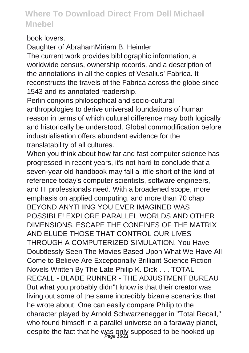book lovers.

Daughter of AbrahamMiriam B. Heimler The current work provides bibliographic information, a worldwide census, ownership records, and a description of the annotations in all the copies of Vesalius' Fabrica. It reconstructs the travels of the Fabrica across the globe since 1543 and its annotated readership.

Perlin conjoins philosophical and socio-cultural anthropologies to derive universal foundations of human reason in terms of which cultural difference may both logically and historically be understood. Global commodification before industrialisation offers abundant evidence for the translatability of all cultures.

When you think about how far and fast computer science has progressed in recent years, it's not hard to conclude that a seven-year old handbook may fall a little short of the kind of reference today's computer scientists, software engineers, and IT professionals need. With a broadened scope, more emphasis on applied computing, and more than 70 chap BEYOND ANYTHING YOU EVER IMAGINED WAS POSSIBLE! EXPLORE PARALLEL WORLDS AND OTHER DIMENSIONS. ESCAPE THE CONFINES OF THE MATRIX AND ELUDE THOSE THAT CONTROL OUR LIVES THROUGH A COMPUTERIZED SIMULATION. You Have Doubtlessly Seen The Movies Based Upon What We Have All Come to Believe Are Exceptionally Brilliant Science Fiction Novels Written By The Late Philip K. Dick . . . TOTAL RECALL - BLADE RUNNER - THE ADJUSTMENT BUREAU But what you probably didn''t know is that their creator was living out some of the same incredibly bizarre scenarios that he wrote about. One can easily compare Philip to the character played by Arnold Schwarzenegger in "Total Recall," who found himself in a parallel universe on a faraway planet, despite the fact that he was only supposed to be hooked up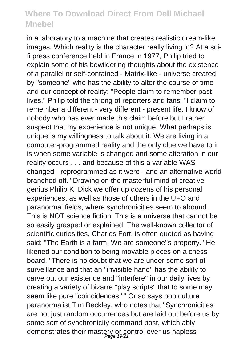in a laboratory to a machine that creates realistic dream-like images. Which reality is the character really living in? At a scifi press conference held in France in 1977, Philip tried to explain some of his bewildering thoughts about the existence of a parallel or self-contained - Matrix-like - universe created by "someone" who has the ability to alter the course of time and our concept of reality: "People claim to remember past lives," Philip told the throng of reporters and fans. "I claim to remember a different - very different - present life. I know of nobody who has ever made this claim before but I rather suspect that my experience is not unique. What perhaps is unique is my willingness to talk about it. We are living in a computer-programmed reality and the only clue we have to it is when some variable is changed and some alteration in our reality occurs . . . and because of this a variable WAS changed - reprogrammed as it were - and an alternative world branched off." Drawing on the masterful mind of creative genius Philip K. Dick we offer up dozens of his personal experiences, as well as those of others in the UFO and paranormal fields, where synchronicities seem to abound. This is NOT science fiction. This is a universe that cannot be so easily grasped or explained. The well-known collector of scientific curiosities, Charles Fort, is often quoted as having said: "The Earth is a farm. We are someone''s property." He likened our condition to being movable pieces on a chess board. "There is no doubt that we are under some sort of surveillance and that an ''invisible hand'' has the ability to carve out our existence and ''interfere'' in our daily lives by creating a variety of bizarre ''play scripts'' that to some may seem like pure ''coincidences.''" Or so says pop culture paranormalist Tim Beckley, who notes that "Synchronicities are not just random occurrences but are laid out before us by some sort of synchronicity command post, which ably demonstrates their mastery or control over us hapless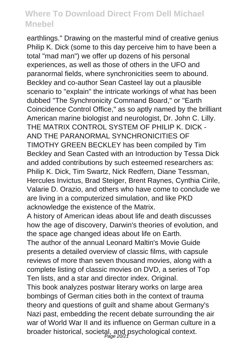earthlings." Drawing on the masterful mind of creative genius Philip K. Dick (some to this day perceive him to have been a total "mad man") we offer up dozens of his personal experiences, as well as those of others in the UFO and paranormal fields, where synchronicities seem to abound. Beckley and co-author Sean Casteel lay out a plausible scenario to "explain" the intricate workings of what has been dubbed "The Synchronicity Command Board," or "Earth Coincidence Control Office," as so aptly named by the brilliant American marine biologist and neurologist, Dr. John C. Lilly. THE MATRIX CONTROL SYSTEM OF PHILIP K. DICK - AND THE PARANORMAL SYNCHRONICITIES OF TIMOTHY GREEN BECKLEY has been compiled by Tim Beckley and Sean Casted with an Introduction by Tessa Dick and added contributions by such esteemed researchers as: Philip K. Dick, Tim Swartz, Nick Redfern, Diane Tessman, Hercules Invictus, Brad Steiger, Brent Raynes, Cynthia Cirile, Valarie D. Orazio, and others who have come to conclude we are living in a computerized simulation, and like PKD acknowledge the existence of the Matrix.

A history of American ideas about life and death discusses how the age of discovery, Darwin's theories of evolution, and the space age changed ideas about life on Earth.

The author of the annual Leonard Maltin's Movie Guide presents a detailed overview of classic films, with capsule reviews of more than seven thousand movies, along with a complete listing of classic movies on DVD, a series of Top Ten lists, and a star and director index. Original.

This book analyzes postwar literary works on large area bombings of German cities both in the context of trauma theory and questions of guilt and shame about Germany's Nazi past, embedding the recent debate surrounding the air war of World War II and its influence on German culture in a broader historical, societal, and psychological context.